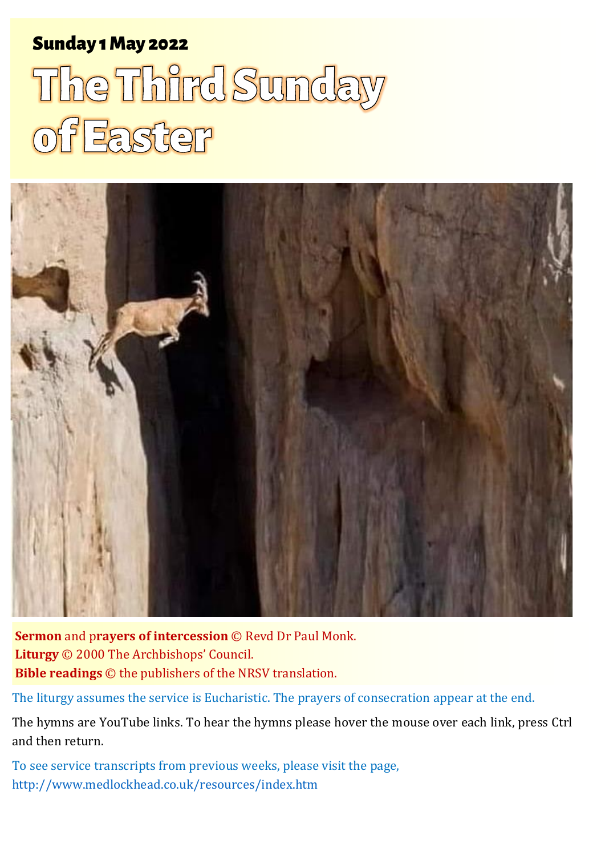# Sunday 1 May 2022 1 The Third Sunday of Easter Sunday 1May 2022

# The Third Sunday of Easter



**Sermon** and p**rayers of intercession** © Revd Dr Paul Monk. **Liturgy** © 2000 The Archbishops' Council. **Bible readings** © the publishers of the NRSV translation.

The liturgy assumes the service is Eucharistic. The prayers of consecration appear at the end.

The hymns are YouTube links. To hear the hymns please hover the mouse over each link, press Ctrl and then return.

To see service transcripts from previous weeks, please visit the page, <http://www.medlockhead.co.uk/resources/index.htm>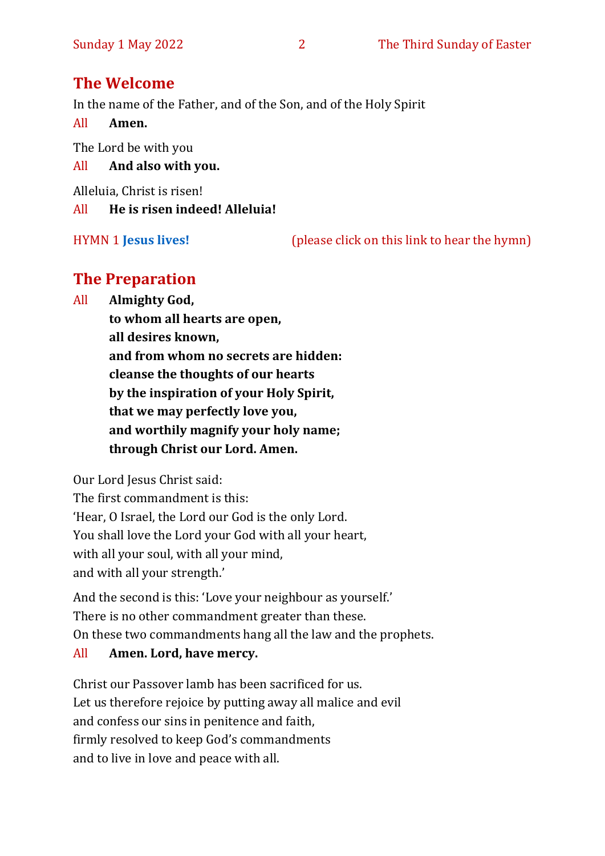# **The Welcome**

In the name of the Father, and of the Son, and of the Holy Spirit

All **Amen.**

The Lord be with you

All **And also with you.**

Alleluia, Christ is risen!

All **He is risen indeed! Alleluia!**

HYMN 1 **[Jesus lives!](https://www.youtube.com/watch?v=tYaOHEGgGCE&t=3s)** (please click on this link to hear the hymn)

# **The Preparation**

All **Almighty God,**

**to whom all hearts are open, all desires known, and from whom no secrets are hidden: cleanse the thoughts of our hearts by the inspiration of your Holy Spirit, that we may perfectly love you, and worthily magnify your holy name; through Christ our Lord. Amen.**

Our Lord Jesus Christ said:

The first commandment is this: 'Hear, O Israel, the Lord our God is the only Lord. You shall love the Lord your God with all your heart, with all your soul, with all your mind, and with all your strength.'

And the second is this: 'Love your neighbour as yourself.' There is no other commandment greater than these. On these two commandments hang all the law and the prophets.

# All **Amen. Lord, have mercy.**

Christ our Passover lamb has been sacrificed for us. Let us therefore rejoice by putting away all malice and evil and confess our sins in penitence and faith, firmly resolved to keep God's commandments and to live in love and peace with all.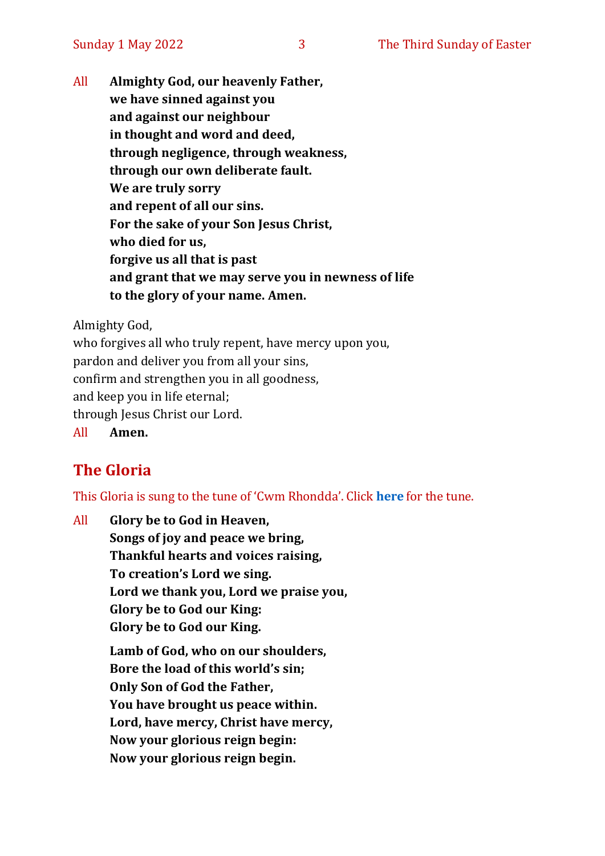All **Almighty God, our heavenly Father, we have sinned against you and against our neighbour in thought and word and deed, through negligence, through weakness, through our own deliberate fault. We are truly sorry and repent of all our sins. For the sake of your Son Jesus Christ, who died for us, forgive us all that is past and grant that we may serve you in newness of life to the glory of your name. Amen.**

Almighty God,

who forgives all who truly repent, have mercy upon you, pardon and deliver you from all your sins, confirm and strengthen you in all goodness, and keep you in life eternal; through Jesus Christ our Lord.

All **Amen.**

# **The Gloria**

This Gloria is sung to the tune of 'Cwm Rhondda'. Click **[here](about:blank)** for the tune.

All **Glory be to God in Heaven, Songs of joy and peace we bring, Thankful hearts and voices raising, To creation's Lord we sing. Lord we thank you, Lord we praise you, Glory be to God our King: Glory be to God our King. Lamb of God, who on our shoulders, Bore the load of this world's sin; Only Son of God the Father, You have brought us peace within. Lord, have mercy, Christ have mercy, Now your glorious reign begin:**

**Now your glorious reign begin.**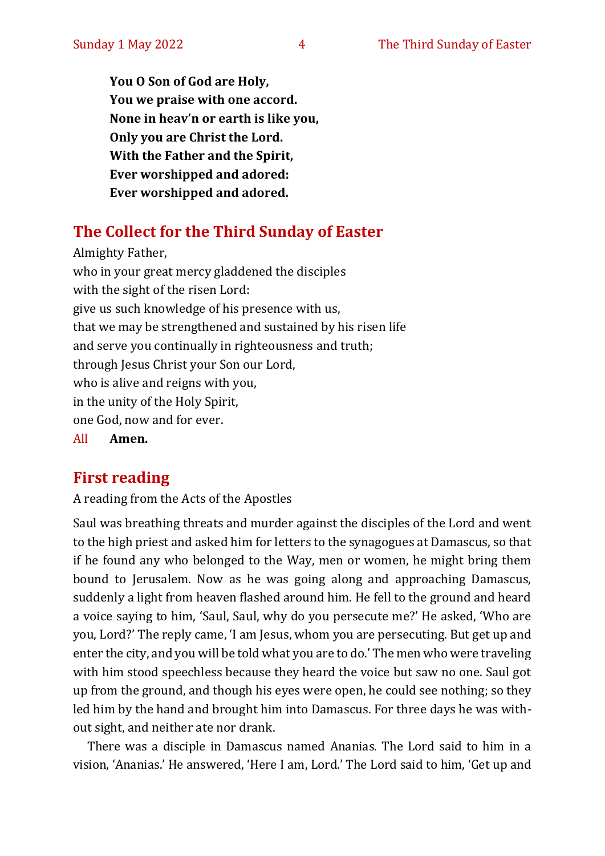**You O Son of God are Holy, You we praise with one accord. None in heav'n or earth is like you, Only you are Christ the Lord. With the Father and the Spirit, Ever worshipped and adored: Ever worshipped and adored.**

# **The Collect for the Third Sunday of Easter**

Almighty Father, who in your great mercy gladdened the disciples with the sight of the risen Lord: give us such knowledge of his presence with us, that we may be strengthened and sustained by his risen life and serve you continually in righteousness and truth; through Jesus Christ your Son our Lord, who is alive and reigns with you, in the unity of the Holy Spirit, one God, now and for ever. All **Amen.**

# **First reading**

A reading from the Acts of the Apostles

Saul was breathing threats and murder against the disciples of the Lord and went to the high priest and asked him for letters to the synagogues at Damascus, so that if he found any who belonged to the Way, men or women, he might bring them bound to Jerusalem. Now as he was going along and approaching Damascus, suddenly a light from heaven flashed around him. He fell to the ground and heard a voice saying to him, 'Saul, Saul, why do you persecute me?' He asked, 'Who are you, Lord?' The reply came, 'I am Jesus, whom you are persecuting. But get up and enter the city, and you will be told what you are to do.' The men who were traveling with him stood speechless because they heard the voice but saw no one. Saul got up from the ground, and though his eyes were open, he could see nothing; so they led him by the hand and brought him into Damascus. For three days he was without sight, and neither ate nor drank.

There was a disciple in Damascus named Ananias. The Lord said to him in a vision, 'Ananias.' He answered, 'Here I am, Lord.' The Lord said to him, 'Get up and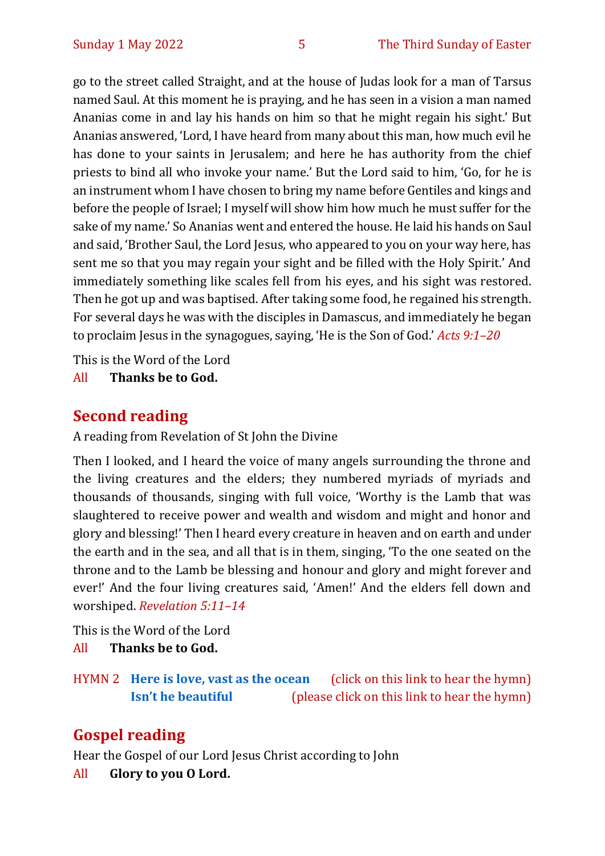go to the street called Straight, and at the house of Judas look for a man of Tarsus named Saul. At this moment he is praying, and he has seen in a vision a man named Ananias come in and lay his hands on him so that he might regain his sight.' But Ananias answered, 'Lord, I have heard from many about this man, how much evil he has done to your saints in Jerusalem; and here he has authority from the chief priests to bind all who invoke your name.' But the Lord said to him, 'Go, for he is an instrument whom I have chosen to bring my name before Gentiles and kings and before the people of Israel; I myself will show him how much he must suffer for the sake of my name.' So Ananias went and entered the house. He laid his hands on Saul and said, 'Brother Saul, the Lord Jesus, who appeared to you on your way here, has sent me so that you may regain your sight and be filled with the Holy Spirit.' And immediately something like scales fell from his eyes, and his sight was restored. Then he got up and was baptised. After taking some food, he regained his strength. For several days he was with the disciples in Damascus, and immediately he began to proclaim Jesus in the synagogues, saying, 'He is the Son of God.' *Acts 9:1–20*

This is the Word of the Lord

All **Thanks be to God.**

# **Second reading**

A reading from Revelation of St John the Divine

Then I looked, and I heard the voice of many angels surrounding the throne and the living creatures and the elders; they numbered myriads of myriads and thousands of thousands, singing with full voice, 'Worthy is the Lamb that was slaughtered to receive power and wealth and wisdom and might and honor and glory and blessing!' Then I heard every creature in heaven and on earth and under the earth and in the sea, and all that is in them, singing, 'To the one seated on the throne and to the Lamb be blessing and honour and glory and might forever and ever!' And the four living creatures said, 'Amen!' And the elders fell down and worshiped. *Revelation 5:11–14*

This is the Word of the Lord All **Thanks be to God.**

HYMN 2 **[Here is love, vast as the ocean](https://www.youtube.com/watch?v=v8YOPj5TnUM)** (click on this link to hear the hymn) **[Isn't he beautiful](https://www.youtube.com/watch?v=X0COhHYlymI)** (please click on this link to hear the hymn)

# **Gospel reading**

Hear the Gospel of our Lord Jesus Christ according to John

All **Glory to you O Lord.**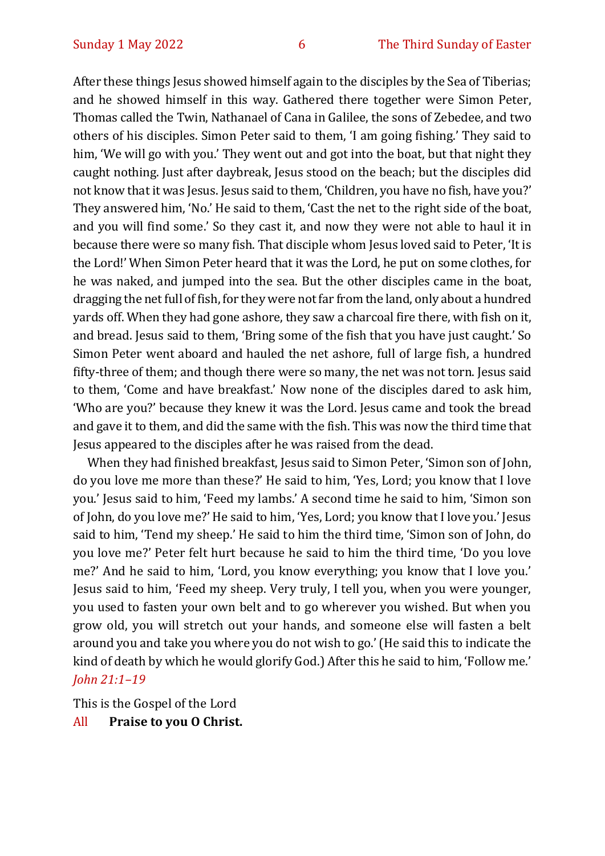After these things Jesus showed himself again to the disciples by the Sea of Tiberias; and he showed himself in this way. Gathered there together were Simon Peter, Thomas called the Twin, Nathanael of Cana in Galilee, the sons of Zebedee, and two others of his disciples. Simon Peter said to them, 'I am going fishing.' They said to him, 'We will go with you.' They went out and got into the boat, but that night they caught nothing. Just after daybreak, Jesus stood on the beach; but the disciples did not know that it was Jesus. Jesus said to them, 'Children, you have no fish, have you?' They answered him, 'No.' He said to them, 'Cast the net to the right side of the boat, and you will find some.' So they cast it, and now they were not able to haul it in because there were so many fish. That disciple whom Jesus loved said to Peter, 'It is the Lord!' When Simon Peter heard that it was the Lord, he put on some clothes, for he was naked, and jumped into the sea. But the other disciples came in the boat, dragging the net full of fish, for they were not far from the land, only about a hundred yards off. When they had gone ashore, they saw a charcoal fire there, with fish on it, and bread. Jesus said to them, 'Bring some of the fish that you have just caught.' So Simon Peter went aboard and hauled the net ashore, full of large fish, a hundred fifty-three of them; and though there were so many, the net was not torn. Jesus said to them, 'Come and have breakfast.' Now none of the disciples dared to ask him, 'Who are you?' because they knew it was the Lord. Jesus came and took the bread and gave it to them, and did the same with the fish. This was now the third time that Jesus appeared to the disciples after he was raised from the dead.

When they had finished breakfast, Jesus said to Simon Peter, 'Simon son of John, do you love me more than these?' He said to him, 'Yes, Lord; you know that I love you.' Jesus said to him, 'Feed my lambs.' A second time he said to him, 'Simon son of John, do you love me?' He said to him, 'Yes, Lord; you know that I love you.' Jesus said to him, 'Tend my sheep.' He said to him the third time, 'Simon son of John, do you love me?' Peter felt hurt because he said to him the third time, 'Do you love me?' And he said to him, 'Lord, you know everything; you know that I love you.' Jesus said to him, 'Feed my sheep. Very truly, I tell you, when you were younger, you used to fasten your own belt and to go wherever you wished. But when you grow old, you will stretch out your hands, and someone else will fasten a belt around you and take you where you do not wish to go.' (He said this to indicate the kind of death by which he would glorify God.) After this he said to him, 'Follow me.' *John 21:1–19*

This is the Gospel of the Lord

All **Praise to you O Christ.**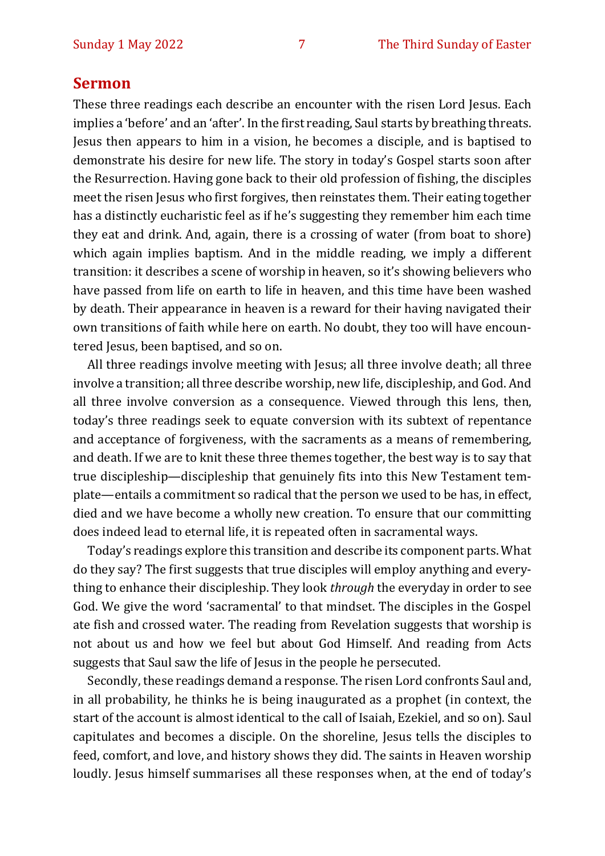#### **Sermon**

These three readings each describe an encounter with the risen Lord Jesus. Each implies a 'before' and an 'after'. In the first reading, Saul starts by breathing threats. Jesus then appears to him in a vision, he becomes a disciple, and is baptised to demonstrate his desire for new life. The story in today's Gospel starts soon after the Resurrection. Having gone back to their old profession of fishing, the disciples meet the risen Jesus who first forgives, then reinstates them. Their eating together has a distinctly eucharistic feel as if he's suggesting they remember him each time they eat and drink. And, again, there is a crossing of water (from boat to shore) which again implies baptism. And in the middle reading, we imply a different transition: it describes a scene of worship in heaven, so it's showing believers who have passed from life on earth to life in heaven, and this time have been washed by death. Their appearance in heaven is a reward for their having navigated their own transitions of faith while here on earth. No doubt, they too will have encountered Jesus, been baptised, and so on.

All three readings involve meeting with Jesus; all three involve death; all three involve a transition; all three describe worship, new life, discipleship, and God. And all three involve conversion as a consequence. Viewed through this lens, then, today's three readings seek to equate conversion with its subtext of repentance and acceptance of forgiveness, with the sacraments as a means of remembering, and death. If we are to knit these three themes together, the best way is to say that true discipleship—discipleship that genuinely fits into this New Testament template—entails a commitment so radical that the person we used to be has, in effect, died and we have become a wholly new creation. To ensure that our committing does indeed lead to eternal life, it is repeated often in sacramental ways.

Today's readings explore this transition and describe its component parts. What do they say? The first suggests that true disciples will employ anything and everything to enhance their discipleship. They look *through* the everyday in order to see God. We give the word 'sacramental' to that mindset. The disciples in the Gospel ate fish and crossed water. The reading from Revelation suggests that worship is not about us and how we feel but about God Himself. And reading from Acts suggests that Saul saw the life of Jesus in the people he persecuted.

Secondly, these readings demand a response. The risen Lord confronts Saul and, in all probability, he thinks he is being inaugurated as a prophet (in context, the start of the account is almost identical to the call of Isaiah, Ezekiel, and so on). Saul capitulates and becomes a disciple. On the shoreline, Jesus tells the disciples to feed, comfort, and love, and history shows they did. The saints in Heaven worship loudly. Jesus himself summarises all these responses when, at the end of today's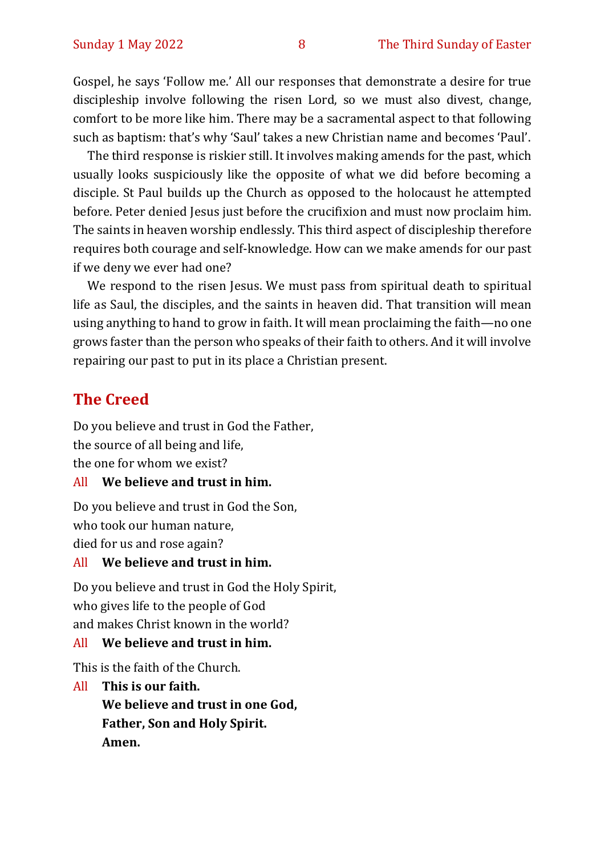Gospel, he says 'Follow me.' All our responses that demonstrate a desire for true discipleship involve following the risen Lord, so we must also divest, change, comfort to be more like him. There may be a sacramental aspect to that following such as baptism: that's why 'Saul' takes a new Christian name and becomes 'Paul'.

The third response is riskier still. It involves making amends for the past, which usually looks suspiciously like the opposite of what we did before becoming a disciple. St Paul builds up the Church as opposed to the holocaust he attempted before. Peter denied Jesus just before the crucifixion and must now proclaim him. The saints in heaven worship endlessly. This third aspect of discipleship therefore requires both courage and self-knowledge. How can we make amends for our past if we deny we ever had one?

We respond to the risen Jesus. We must pass from spiritual death to spiritual life as Saul, the disciples, and the saints in heaven did. That transition will mean using anything to hand to grow in faith. It will mean proclaiming the faith—no one grows faster than the person who speaks of their faith to others. And it will involve repairing our past to put in its place a Christian present.

#### **The Creed**

Do you believe and trust in God the Father, the source of all being and life, the one for whom we exist?

#### All **We believe and trust in him.**

Do you believe and trust in God the Son, who took our human nature, died for us and rose again?

#### All **We believe and trust in him.**

Do you believe and trust in God the Holy Spirit, who gives life to the people of God and makes Christ known in the world?

#### All **We believe and trust in him.**

This is the faith of the Church.

All **This is our faith. We believe and trust in one God, Father, Son and Holy Spirit. Amen.**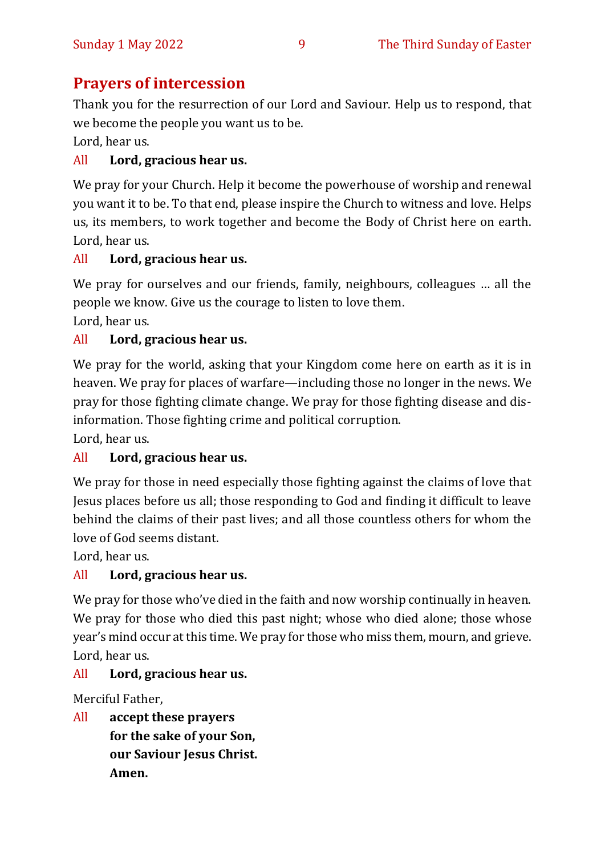# **Prayers of intercession**

Thank you for the resurrection of our Lord and Saviour. Help us to respond, that we become the people you want us to be.

Lord, hear us.

#### All **Lord, gracious hear us.**

We pray for your Church. Help it become the powerhouse of worship and renewal you want it to be. To that end, please inspire the Church to witness and love. Helps us, its members, to work together and become the Body of Christ here on earth. Lord, hear us.

#### All **Lord, gracious hear us.**

We pray for ourselves and our friends, family, neighbours, colleagues … all the people we know. Give us the courage to listen to love them.

Lord, hear us.

#### All **Lord, gracious hear us.**

We pray for the world, asking that your Kingdom come here on earth as it is in heaven. We pray for places of warfare—including those no longer in the news. We pray for those fighting climate change. We pray for those fighting disease and disinformation. Those fighting crime and political corruption.

Lord, hear us.

#### All **Lord, gracious hear us.**

We pray for those in need especially those fighting against the claims of love that Jesus places before us all; those responding to God and finding it difficult to leave behind the claims of their past lives; and all those countless others for whom the love of God seems distant.

Lord, hear us.

#### All **Lord, gracious hear us.**

We pray for those who've died in the faith and now worship continually in heaven. We pray for those who died this past night; whose who died alone; those whose year's mind occur at this time. We pray for those who miss them, mourn, and grieve. Lord, hear us.

#### All **Lord, gracious hear us.**

Merciful Father,

All **accept these prayers for the sake of your Son, our Saviour Jesus Christ. Amen.**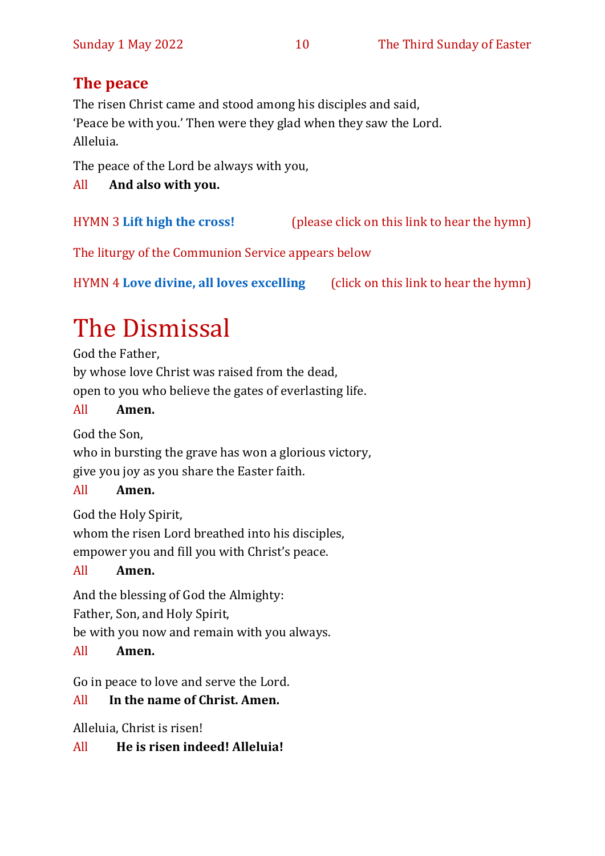# **The peace**

The risen Christ came and stood among his disciples and said, 'Peace be with you.' Then were they glad when they saw the Lord. Alleluia.

The peace of the Lord be always with you,

All **And also with you.**

HYMN 3 **[Lift high the cross!](https://www.youtube.com/watch?v=GbcBXYP4AlE)** (please click on this link to hear the hymn)

The liturgy of the Communion Service appears below

HYMN 4 **[Love divine, all loves excelling](https://www.youtube.com/watch?v=_hmfqe_8SEI&list=RD_hmfqe_8SEI&start_radio=1&rv=_hmfqe_8SEI&t=51)** (click on this link to hear the hymn)

# The Dismissal

God the Father, by whose love Christ was raised from the dead, open to you who believe the gates of everlasting life.

# All **Amen.**

God the Son,

who in bursting the grave has won a glorious victory, give you joy as you share the Easter faith.

# All **Amen.**

God the Holy Spirit, whom the risen Lord breathed into his disciples, empower you and fill you with Christ's peace.

# All **Amen.**

And the blessing of God the Almighty:

Father, Son, and Holy Spirit,

be with you now and remain with you always.

# All **Amen.**

Go in peace to love and serve the Lord.

# All **In the name of Christ. Amen.**

Alleluia, Christ is risen!

#### All **He is risen indeed! Alleluia!**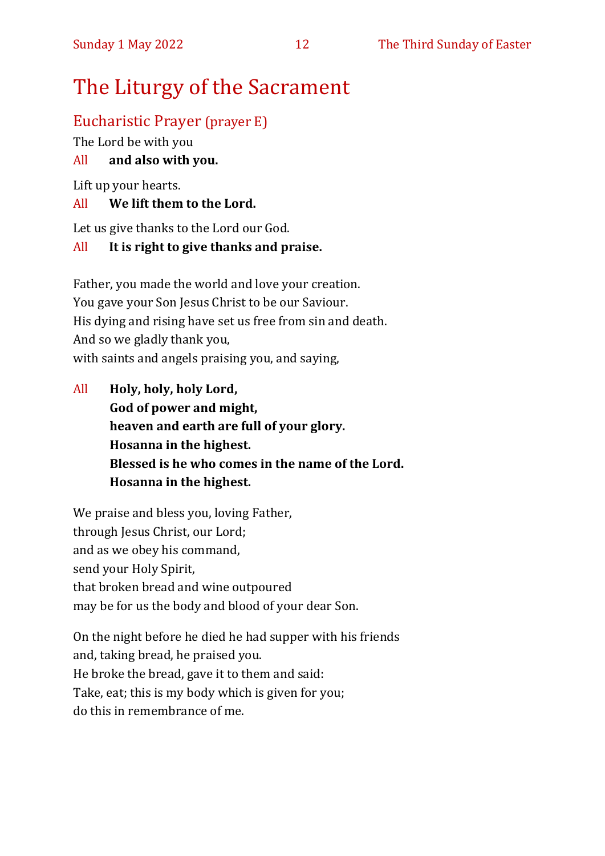# The Liturgy of the Sacrament

# Eucharistic Prayer (prayer E)

The Lord be with you

# All **and also with you.**

Lift up your hearts.

# All **We lift them to the Lord.**

Let us give thanks to the Lord our God.

# All **It is right to give thanks and praise.**

Father, you made the world and love your creation. You gave your Son Jesus Christ to be our Saviour. His dying and rising have set us free from sin and death. And so we gladly thank you, with saints and angels praising you, and saying,

All **Holy, holy, holy Lord, God of power and might, heaven and earth are full of your glory. Hosanna in the highest. Blessed is he who comes in the name of the Lord. Hosanna in the highest.**

We praise and bless you, loving Father, through Jesus Christ, our Lord; and as we obey his command, send your Holy Spirit, that broken bread and wine outpoured may be for us the body and blood of your dear Son.

On the night before he died he had supper with his friends and, taking bread, he praised you. He broke the bread, gave it to them and said: Take, eat; this is my body which is given for you; do this in remembrance of me.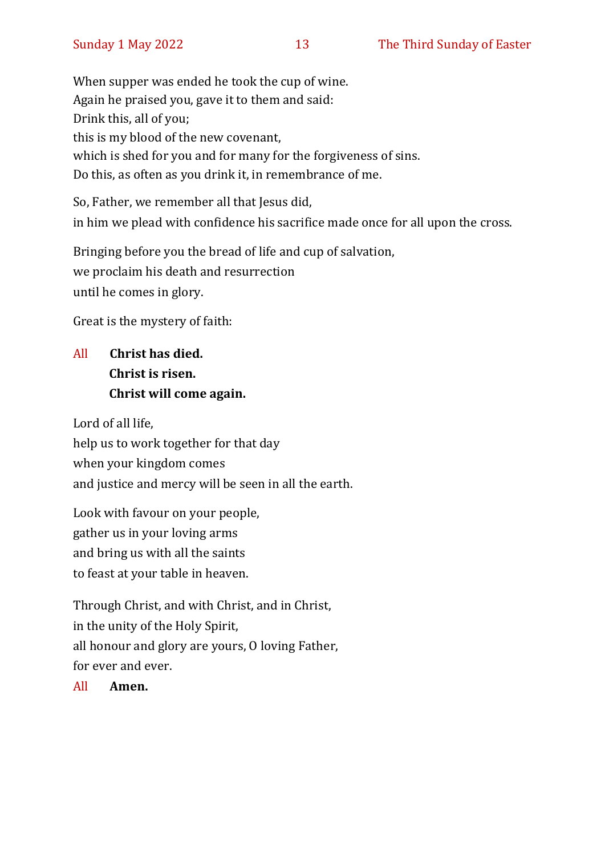When supper was ended he took the cup of wine. Again he praised you, gave it to them and said: Drink this, all of you; this is my blood of the new covenant, which is shed for you and for many for the forgiveness of sins. Do this, as often as you drink it, in remembrance of me.

So, Father, we remember all that Jesus did, in him we plead with confidence his sacrifice made once for all upon the cross.

Bringing before you the bread of life and cup of salvation, we proclaim his death and resurrection until he comes in glory.

Great is the mystery of faith:

# All **Christ has died. Christ is risen. Christ will come again.**

Lord of all life, help us to work together for that day when your kingdom comes and justice and mercy will be seen in all the earth.

Look with favour on your people, gather us in your loving arms and bring us with all the saints to feast at your table in heaven.

Through Christ, and with Christ, and in Christ, in the unity of the Holy Spirit, all honour and glory are yours, O loving Father, for ever and ever.

All **Amen.**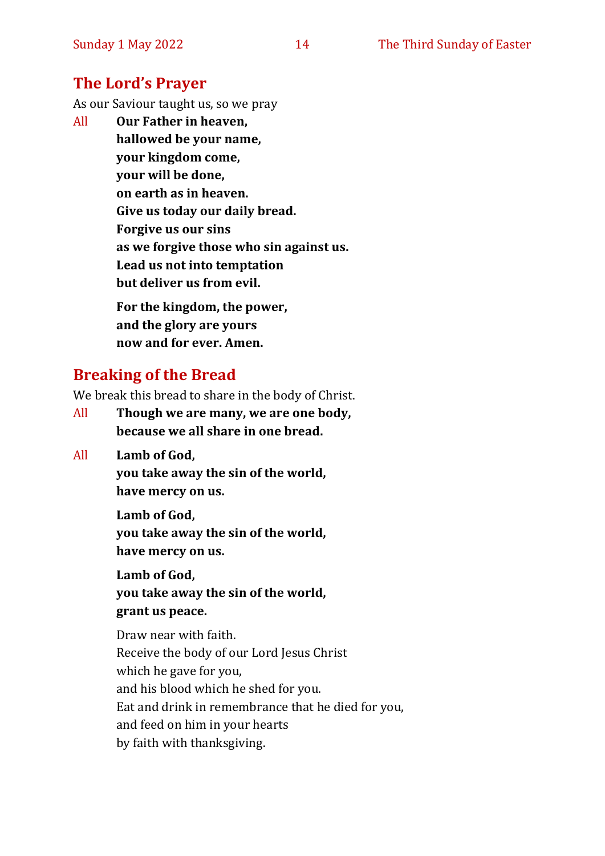#### **The Lord's Prayer**

As our Saviour taught us, so we pray

All **Our Father in heaven, hallowed be your name, your kingdom come, your will be done, on earth as in heaven. Give us today our daily bread. Forgive us our sins as we forgive those who sin against us. Lead us not into temptation but deliver us from evil. For the kingdom, the power,** 

**and the glory are yours now and for ever. Amen.**

# **Breaking of the Bread**

We break this bread to share in the body of Christ.

- All **Though we are many, we are one body, because we all share in one bread.**
- All **Lamb of God,**

**you take away the sin of the world, have mercy on us.**

**Lamb of God,** 

**you take away the sin of the world, have mercy on us.**

**Lamb of God,** 

**you take away the sin of the world, grant us peace.**

Draw near with faith. Receive the body of our Lord Jesus Christ which he gave for you, and his blood which he shed for you. Eat and drink in remembrance that he died for you, and feed on him in your hearts by faith with thanksgiving.